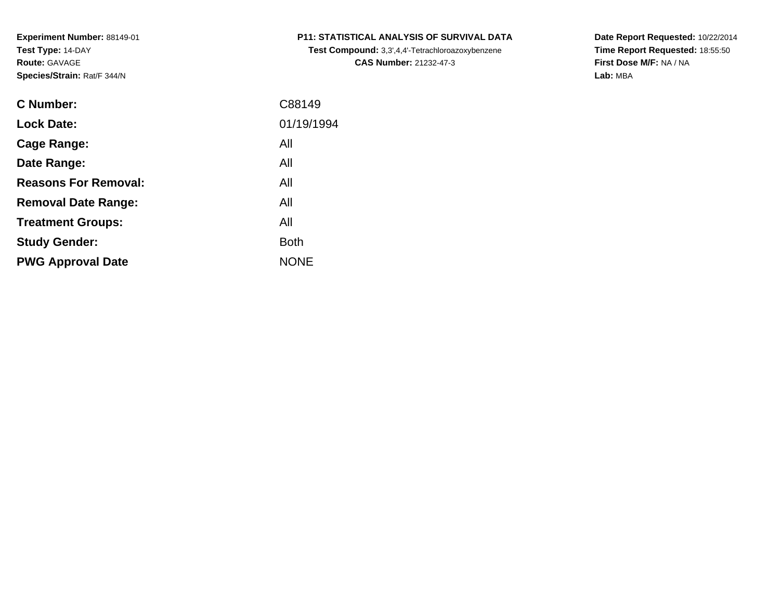| C Number:                   | C88149      |
|-----------------------------|-------------|
| <b>Lock Date:</b>           | 01/19/1994  |
| Cage Range:                 | All         |
| Date Range:                 | All         |
| <b>Reasons For Removal:</b> | All         |
| <b>Removal Date Range:</b>  | All         |
| <b>Treatment Groups:</b>    | All         |
| <b>Study Gender:</b>        | <b>Both</b> |
| <b>PWG Approval Date</b>    | <b>NONE</b> |
|                             |             |

# **P11: STATISTICAL ANALYSIS OF SURVIVAL DATA**

**Test Compound:** 3,3',4,4'-Tetrachloroazoxybenzene**CAS Number:** 21232-47-3

**Date Report Requested:** 10/22/2014 **Time Report Requested:** 18:55:50**First Dose M/F:** NA / NA**Lab:** MBA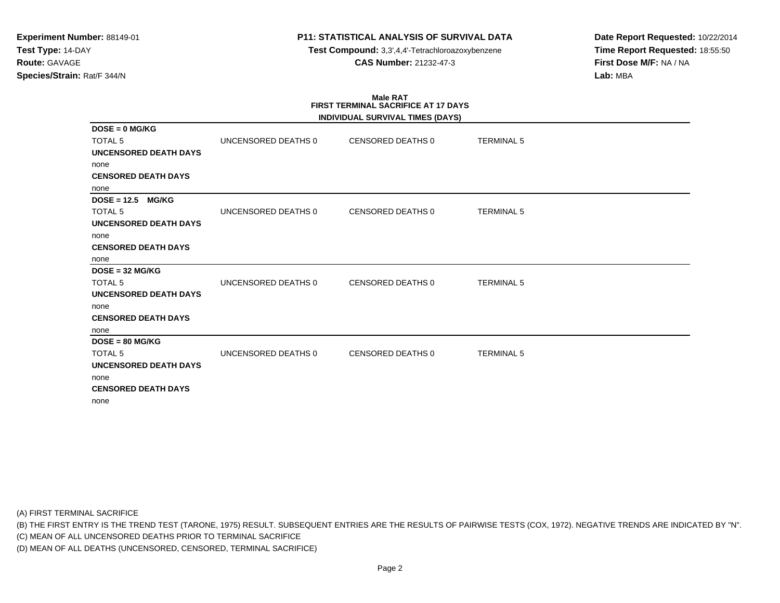**Test Compound:** 3,3',4,4'-Tetrachloroazoxybenzene**CAS Number:** 21232-47-3

**Date Report Requested:** 10/22/2014**Time Report Requested:** 18:55:50**First Dose M/F:** NA / NA**Lab:** MBA

# **Male RATFIRST TERMINAL SACRIFICE AT 17 DAYS**

|                               |                     | INDIVIDUAL SURVIVAL TIMES (DAYS) |                   |  |
|-------------------------------|---------------------|----------------------------------|-------------------|--|
| $DOSE = 0$ MG/KG              |                     |                                  |                   |  |
| <b>TOTAL 5</b>                | UNCENSORED DEATHS 0 | CENSORED DEATHS 0                | <b>TERMINAL 5</b> |  |
| <b>UNCENSORED DEATH DAYS</b>  |                     |                                  |                   |  |
| none                          |                     |                                  |                   |  |
| <b>CENSORED DEATH DAYS</b>    |                     |                                  |                   |  |
| none                          |                     |                                  |                   |  |
| $DOSE = 12.5$<br><b>MG/KG</b> |                     |                                  |                   |  |
| <b>TOTAL 5</b>                | UNCENSORED DEATHS 0 | <b>CENSORED DEATHS 0</b>         | <b>TERMINAL 5</b> |  |
| <b>UNCENSORED DEATH DAYS</b>  |                     |                                  |                   |  |
| none                          |                     |                                  |                   |  |
| <b>CENSORED DEATH DAYS</b>    |                     |                                  |                   |  |
| none                          |                     |                                  |                   |  |
| $DOSE = 32 MGIKG$             |                     |                                  |                   |  |
| <b>TOTAL 5</b>                | UNCENSORED DEATHS 0 | <b>CENSORED DEATHS 0</b>         | <b>TERMINAL 5</b> |  |
| <b>UNCENSORED DEATH DAYS</b>  |                     |                                  |                   |  |
| none                          |                     |                                  |                   |  |
| <b>CENSORED DEATH DAYS</b>    |                     |                                  |                   |  |
| none                          |                     |                                  |                   |  |
| $DOSE = 80 MG/KG$             |                     |                                  |                   |  |
| <b>TOTAL 5</b>                | UNCENSORED DEATHS 0 | <b>CENSORED DEATHS 0</b>         | <b>TERMINAL 5</b> |  |
| <b>UNCENSORED DEATH DAYS</b>  |                     |                                  |                   |  |
| none                          |                     |                                  |                   |  |
| <b>CENSORED DEATH DAYS</b>    |                     |                                  |                   |  |
| none                          |                     |                                  |                   |  |

(A) FIRST TERMINAL SACRIFICE

(B) THE FIRST ENTRY IS THE TREND TEST (TARONE, 1975) RESULT. SUBSEQUENT ENTRIES ARE THE RESULTS OF PAIRWISE TESTS (COX, 1972). NEGATIVE TRENDS ARE INDICATED BY "N".

(C) MEAN OF ALL UNCENSORED DEATHS PRIOR TO TERMINAL SACRIFICE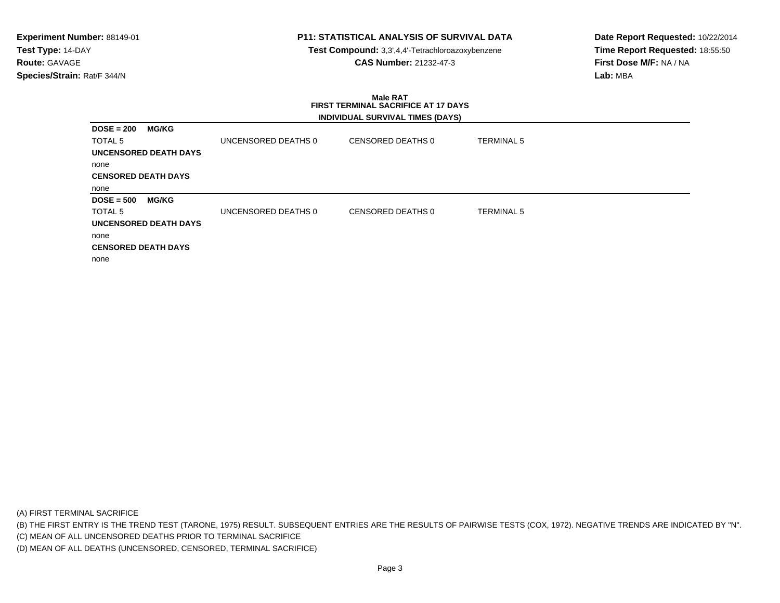**Test Compound:** 3,3',4,4'-Tetrachloroazoxybenzene**CAS Number:** 21232-47-3

**Date Report Requested:** 10/22/2014**Time Report Requested:** 18:55:50**First Dose M/F:** NA / NA**Lab:** MBA

#### **Male RAT FIRST TERMINAL SACRIFICE AT 17 DAYSINDIVIDUAL SURVIVAL TIMES (DAYS)**

| <b>MG/KG</b>                 |                     |                   |                   |
|------------------------------|---------------------|-------------------|-------------------|
|                              | UNCENSORED DEATHS 0 | CENSORED DEATHS 0 | <b>TERMINAL 5</b> |
| <b>UNCENSORED DEATH DAYS</b> |                     |                   |                   |
|                              |                     |                   |                   |
| <b>CENSORED DEATH DAYS</b>   |                     |                   |                   |
|                              |                     |                   |                   |
| <b>MG/KG</b>                 |                     |                   |                   |
|                              | UNCENSORED DEATHS 0 | CENSORED DEATHS 0 | <b>TERMINAL 5</b> |
| <b>UNCENSORED DEATH DAYS</b> |                     |                   |                   |
|                              |                     |                   |                   |
| <b>CENSORED DEATH DAYS</b>   |                     |                   |                   |
|                              |                     |                   |                   |
|                              |                     |                   |                   |

(A) FIRST TERMINAL SACRIFICE

(B) THE FIRST ENTRY IS THE TREND TEST (TARONE, 1975) RESULT. SUBSEQUENT ENTRIES ARE THE RESULTS OF PAIRWISE TESTS (COX, 1972). NEGATIVE TRENDS ARE INDICATED BY "N".

(C) MEAN OF ALL UNCENSORED DEATHS PRIOR TO TERMINAL SACRIFICE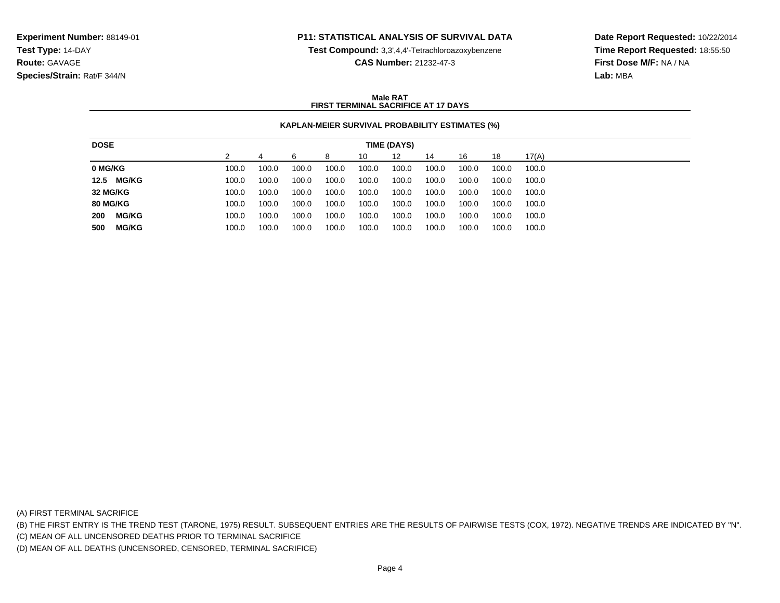**Test Compound:** 3,3',4,4'-Tetrachloroazoxybenzene

**CAS Number:** 21232-47-3

**Date Report Requested:** 10/22/2014**Time Report Requested:** 18:55:50**First Dose M/F:** NA / NA**Lab:** MBA

### **Male RATFIRST TERMINAL SACRIFICE AT 17 DAYS**

## **KAPLAN-MEIER SURVIVAL PROBABILITY ESTIMATES (%)**

| 12<br>17(A)<br>14<br>18<br>16<br>10<br>8<br>100.0<br>100.0<br>100.0<br>100.0<br>100.0<br>100.0<br>100.0<br>100.0<br>100.0<br>100.0 |
|------------------------------------------------------------------------------------------------------------------------------------|
| 0 MG/KG                                                                                                                            |
|                                                                                                                                    |
| 12.5 MG/KG<br>100.0<br>100.0<br>100.0<br>100.0<br>100.0<br>100.0<br>100.0<br>100.0<br>100.0<br>100.0                               |
| 32 MG/KG<br>100.0<br>100.0<br>100.0<br>100.0<br>100.0<br>100.0<br>100.0<br>100.0<br>100.0<br>100.0                                 |
| <b>80 MG/KG</b><br>100.0<br>100.0<br>100.0<br>100.0<br>100.0<br>100.0<br>100.0<br>100.0<br>100.0<br>100.0                          |
| 200<br><b>MG/KG</b><br>100.0<br>100.0<br>100.0<br>100.0<br>100.0<br>100.0<br>100.0<br>100.0<br>100.0<br>100.0                      |
| <b>MG/KG</b><br>500<br>100.0<br>100.0<br>100.0<br>100.0<br>100.0<br>100.0<br>100.0<br>100.0<br>100.0<br>100.0                      |

(A) FIRST TERMINAL SACRIFICE

(B) THE FIRST ENTRY IS THE TREND TEST (TARONE, 1975) RESULT. SUBSEQUENT ENTRIES ARE THE RESULTS OF PAIRWISE TESTS (COX, 1972). NEGATIVE TRENDS ARE INDICATED BY "N".

(C) MEAN OF ALL UNCENSORED DEATHS PRIOR TO TERMINAL SACRIFICE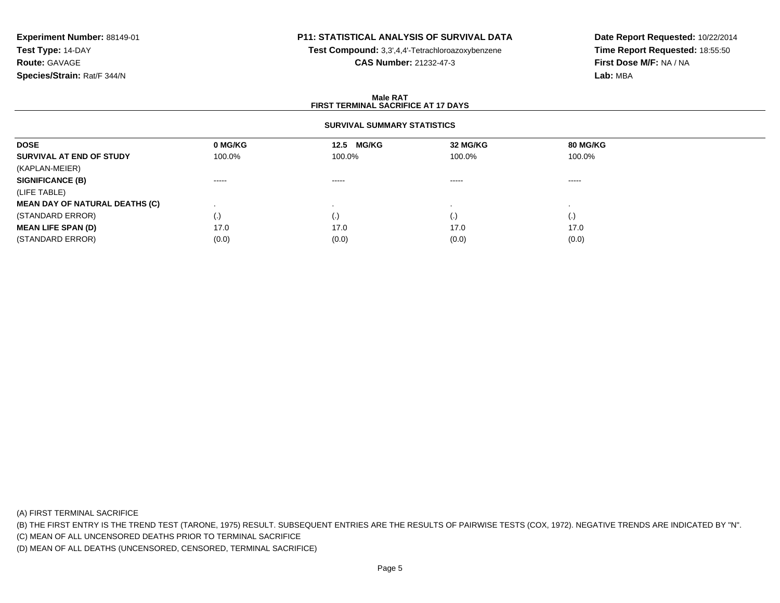# **P11: STATISTICAL ANALYSIS OF SURVIVAL DATA**

**Test Compound:** 3,3',4,4'-Tetrachloroazoxybenzene

**CAS Number:** 21232-47-3

**Date Report Requested:** 10/22/2014**Time Report Requested:** 18:55:50**First Dose M/F:** NA / NA**Lab:** MBA

### **Male RATFIRST TERMINAL SACRIFICE AT 17 DAYS**

## **SURVIVAL SUMMARY STATISTICS**

| 80 MG/KG<br>32 MG/KG | <b>MG/KG</b><br>12.5 | 0 MG/KG  | <b>DOSE</b>                                                                                                                       |
|----------------------|----------------------|----------|-----------------------------------------------------------------------------------------------------------------------------------|
| 100.0%<br>100.0%     | 100.0%               | 100.0%   | SURVIVAL AT END OF STUDY                                                                                                          |
|                      |                      |          | (KAPLAN-MEIER)                                                                                                                    |
| -----<br>$\cdots$    | ------               | $\cdots$ |                                                                                                                                   |
|                      |                      |          |                                                                                                                                   |
|                      |                      |          |                                                                                                                                   |
| (.)<br>(.)           | $\cdot$              | (.)      |                                                                                                                                   |
| 17.0<br>17.0         | 17.0                 | 17.0     |                                                                                                                                   |
| (0.0)<br>(0.0)       | (0.0)                | (0.0)    | (STANDARD ERROR)                                                                                                                  |
|                      |                      |          | <b>SIGNIFICANCE (B)</b><br>(LIFE TABLE)<br><b>MEAN DAY OF NATURAL DEATHS (C)</b><br>(STANDARD ERROR)<br><b>MEAN LIFE SPAN (D)</b> |

(A) FIRST TERMINAL SACRIFICE

(B) THE FIRST ENTRY IS THE TREND TEST (TARONE, 1975) RESULT. SUBSEQUENT ENTRIES ARE THE RESULTS OF PAIRWISE TESTS (COX, 1972). NEGATIVE TRENDS ARE INDICATED BY "N".

(C) MEAN OF ALL UNCENSORED DEATHS PRIOR TO TERMINAL SACRIFICE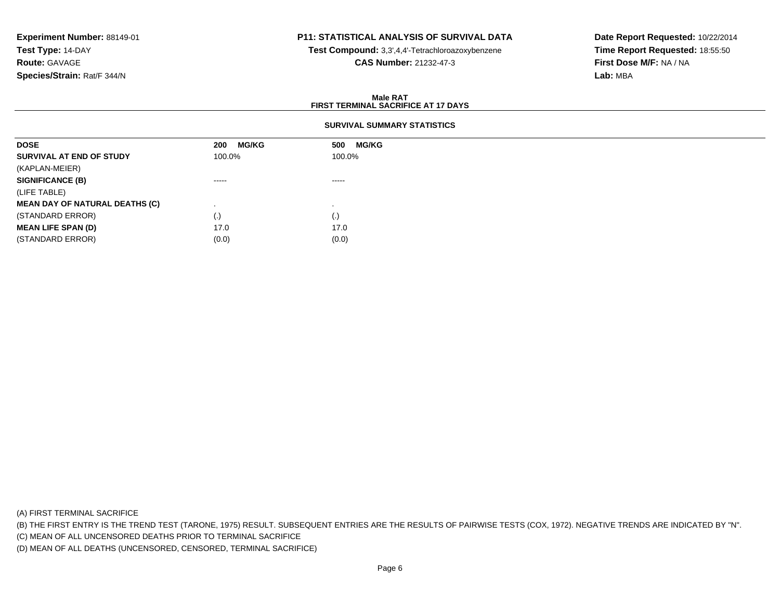# **P11: STATISTICAL ANALYSIS OF SURVIVAL DATA**

**Test Compound:** 3,3',4,4'-Tetrachloroazoxybenzene

**CAS Number:** 21232-47-3

**Date Report Requested:** 10/22/2014**Time Report Requested:** 18:55:50**First Dose M/F:** NA / NA**Lab:** MBA

### **Male RATFIRST TERMINAL SACRIFICE AT 17 DAYS**

## **SURVIVAL SUMMARY STATISTICS**

| <b>DOSE</b>                           | <b>MG/KG</b><br>200 | <b>MG/KG</b><br>500 |
|---------------------------------------|---------------------|---------------------|
| SURVIVAL AT END OF STUDY              | 100.0%              | 100.0%              |
| (KAPLAN-MEIER)                        |                     |                     |
| <b>SIGNIFICANCE (B)</b>               | -----               | $\cdots$            |
| (LIFE TABLE)                          |                     |                     |
| <b>MEAN DAY OF NATURAL DEATHS (C)</b> |                     |                     |
| (STANDARD ERROR)                      | $\left( .\right)$   | (.)                 |
| <b>MEAN LIFE SPAN (D)</b>             | 17.0                | 17.0                |
| (STANDARD ERROR)                      | (0.0)               | (0.0)               |

(A) FIRST TERMINAL SACRIFICE

(B) THE FIRST ENTRY IS THE TREND TEST (TARONE, 1975) RESULT. SUBSEQUENT ENTRIES ARE THE RESULTS OF PAIRWISE TESTS (COX, 1972). NEGATIVE TRENDS ARE INDICATED BY "N".

(C) MEAN OF ALL UNCENSORED DEATHS PRIOR TO TERMINAL SACRIFICE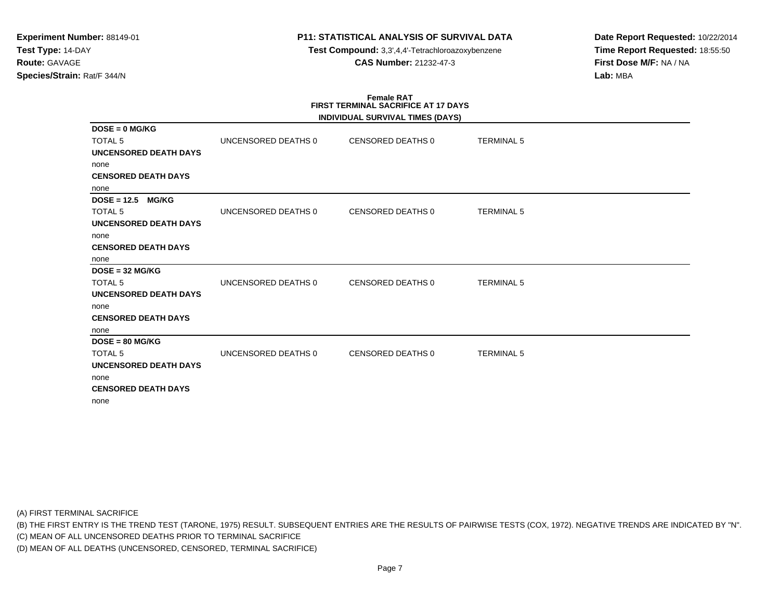**Test Compound:** 3,3',4,4'-Tetrachloroazoxybenzene**CAS Number:** 21232-47-3

**Date Report Requested:** 10/22/2014**Time Report Requested:** 18:55:50**First Dose M/F:** NA / NA**Lab:** MBA

# **Female RATFIRST TERMINAL SACRIFICE AT 17 DAYS**

|                               |                     | INDIVIDUAL SURVIVAL TIMES (DAYS) |                   |  |
|-------------------------------|---------------------|----------------------------------|-------------------|--|
| $DOSE = 0$ MG/KG              |                     |                                  |                   |  |
| <b>TOTAL 5</b>                | UNCENSORED DEATHS 0 | CENSORED DEATHS 0                | <b>TERMINAL 5</b> |  |
| <b>UNCENSORED DEATH DAYS</b>  |                     |                                  |                   |  |
| none                          |                     |                                  |                   |  |
| <b>CENSORED DEATH DAYS</b>    |                     |                                  |                   |  |
| none                          |                     |                                  |                   |  |
| $DOSE = 12.5$<br><b>MG/KG</b> |                     |                                  |                   |  |
| <b>TOTAL 5</b>                | UNCENSORED DEATHS 0 | CENSORED DEATHS 0                | <b>TERMINAL 5</b> |  |
| <b>UNCENSORED DEATH DAYS</b>  |                     |                                  |                   |  |
| none                          |                     |                                  |                   |  |
| <b>CENSORED DEATH DAYS</b>    |                     |                                  |                   |  |
| none                          |                     |                                  |                   |  |
| $DOSE = 32 MG/KG$             |                     |                                  |                   |  |
| <b>TOTAL 5</b>                | UNCENSORED DEATHS 0 | <b>CENSORED DEATHS 0</b>         | <b>TERMINAL 5</b> |  |
| UNCENSORED DEATH DAYS         |                     |                                  |                   |  |
| none                          |                     |                                  |                   |  |
| <b>CENSORED DEATH DAYS</b>    |                     |                                  |                   |  |
| none                          |                     |                                  |                   |  |
| $DOSE = 80 MG/KG$             |                     |                                  |                   |  |
| <b>TOTAL 5</b>                | UNCENSORED DEATHS 0 | CENSORED DEATHS 0                | <b>TERMINAL 5</b> |  |
| <b>UNCENSORED DEATH DAYS</b>  |                     |                                  |                   |  |
| none                          |                     |                                  |                   |  |
| <b>CENSORED DEATH DAYS</b>    |                     |                                  |                   |  |
| none                          |                     |                                  |                   |  |

(A) FIRST TERMINAL SACRIFICE

(B) THE FIRST ENTRY IS THE TREND TEST (TARONE, 1975) RESULT. SUBSEQUENT ENTRIES ARE THE RESULTS OF PAIRWISE TESTS (COX, 1972). NEGATIVE TRENDS ARE INDICATED BY "N".

(C) MEAN OF ALL UNCENSORED DEATHS PRIOR TO TERMINAL SACRIFICE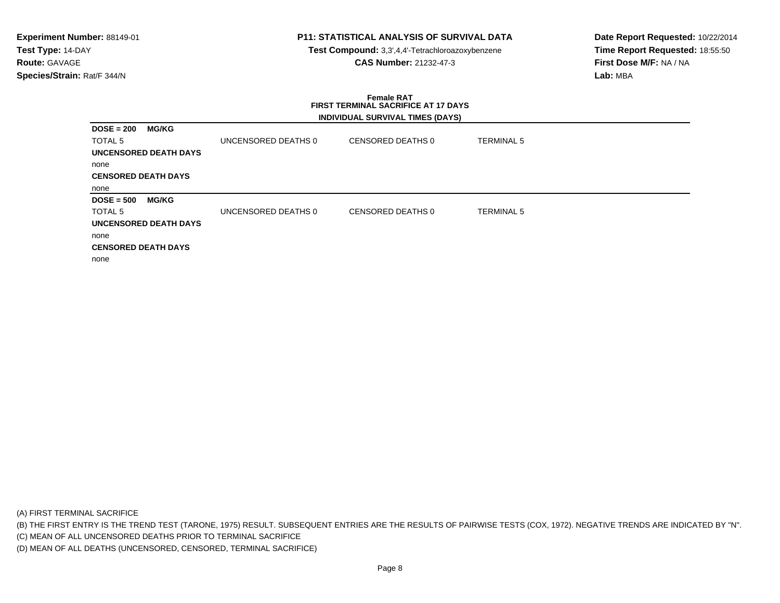**Test Compound:** 3,3',4,4'-Tetrachloroazoxybenzene**CAS Number:** 21232-47-3

**Date Report Requested:** 10/22/2014**Time Report Requested:** 18:55:50**First Dose M/F:** NA / NA**Lab:** MBA

### **Female RAT FIRST TERMINAL SACRIFICE AT 17 DAYSINDIVIDUAL SURVIVAL TIMES (DAYS)**

| $DOSE = 200$               | <b>MG/KG</b>                 |                     |                   |                   |
|----------------------------|------------------------------|---------------------|-------------------|-------------------|
| TOTAL <sub>5</sub>         |                              | UNCENSORED DEATHS 0 | CENSORED DEATHS 0 | <b>TERMINAL 5</b> |
|                            | <b>UNCENSORED DEATH DAYS</b> |                     |                   |                   |
| none                       |                              |                     |                   |                   |
| <b>CENSORED DEATH DAYS</b> |                              |                     |                   |                   |
| none                       |                              |                     |                   |                   |
| $DOSE = 500$               | <b>MG/KG</b>                 |                     |                   |                   |
| TOTAL <sub>5</sub>         |                              | UNCENSORED DEATHS 0 | CENSORED DEATHS 0 | <b>TERMINAL 5</b> |
|                            | UNCENSORED DEATH DAYS        |                     |                   |                   |
| none                       |                              |                     |                   |                   |
|                            | <b>CENSORED DEATH DAYS</b>   |                     |                   |                   |
|                            |                              |                     |                   |                   |

(A) FIRST TERMINAL SACRIFICE

(B) THE FIRST ENTRY IS THE TREND TEST (TARONE, 1975) RESULT. SUBSEQUENT ENTRIES ARE THE RESULTS OF PAIRWISE TESTS (COX, 1972). NEGATIVE TRENDS ARE INDICATED BY "N".

(C) MEAN OF ALL UNCENSORED DEATHS PRIOR TO TERMINAL SACRIFICE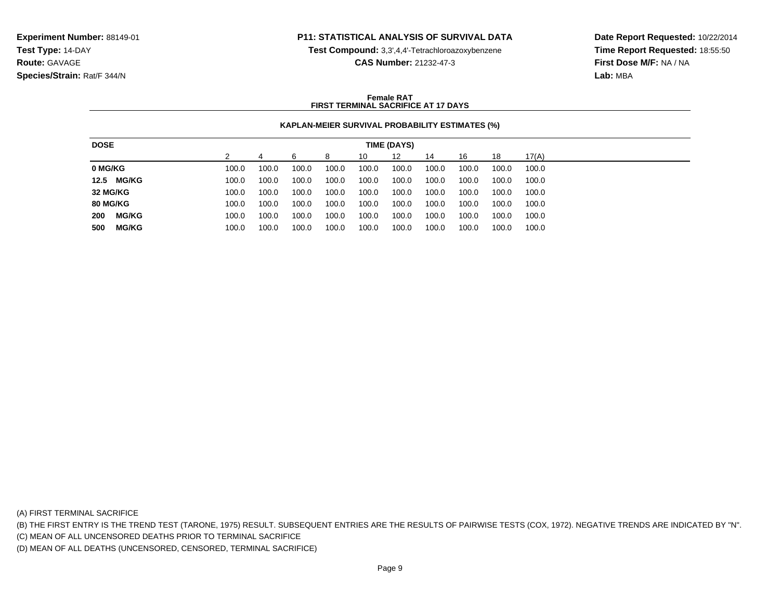**Test Compound:** 3,3',4,4'-Tetrachloroazoxybenzene

**CAS Number:** 21232-47-3

**Date Report Requested:** 10/22/2014**Time Report Requested:** 18:55:50**First Dose M/F:** NA / NA**Lab:** MBA

### **Female RATFIRST TERMINAL SACRIFICE AT 17 DAYS**

## **KAPLAN-MEIER SURVIVAL PROBABILITY ESTIMATES (%)**

| <b>DOSE</b>         |       |       |       |       |       | TIME (DAYS) |       |       |       |       |
|---------------------|-------|-------|-------|-------|-------|-------------|-------|-------|-------|-------|
|                     |       |       | ี     | 8     | 10    | 12          | 14    | 16    | 18    | 17(A) |
| 0 MG/KG             | 100.0 | 100.0 | 100.0 | 100.0 | 100.0 | 100.0       | 100.0 | 100.0 | 100.0 | 100.0 |
| 12.5 MG/KG          | 100.0 | 100.0 | 100.0 | 100.0 | 100.0 | 100.0       | 100.0 | 100.0 | 100.0 | 100.0 |
| 32 MG/KG            | 100.0 | 100.0 | 100.0 | 100.0 | 100.0 | 100.0       | 100.0 | 100.0 | 100.0 | 100.0 |
| <b>80 MG/KG</b>     | 100.0 | 100.0 | 100.0 | 100.0 | 100.0 | 100.0       | 100.0 | 100.0 | 100.0 | 100.0 |
| <b>MG/KG</b><br>200 | 100.0 | 100.0 | 100.0 | 100.0 | 100.0 | 100.0       | 100.0 | 100.0 | 100.0 | 100.0 |
| 500<br><b>MG/KG</b> | 100.0 | 100.0 | 100.0 | 100.0 | 100.0 | 100.0       | 100.0 | 100.0 | 100.0 | 100.0 |
|                     |       |       |       |       |       |             |       |       |       |       |

(A) FIRST TERMINAL SACRIFICE

(B) THE FIRST ENTRY IS THE TREND TEST (TARONE, 1975) RESULT. SUBSEQUENT ENTRIES ARE THE RESULTS OF PAIRWISE TESTS (COX, 1972). NEGATIVE TRENDS ARE INDICATED BY "N".

(C) MEAN OF ALL UNCENSORED DEATHS PRIOR TO TERMINAL SACRIFICE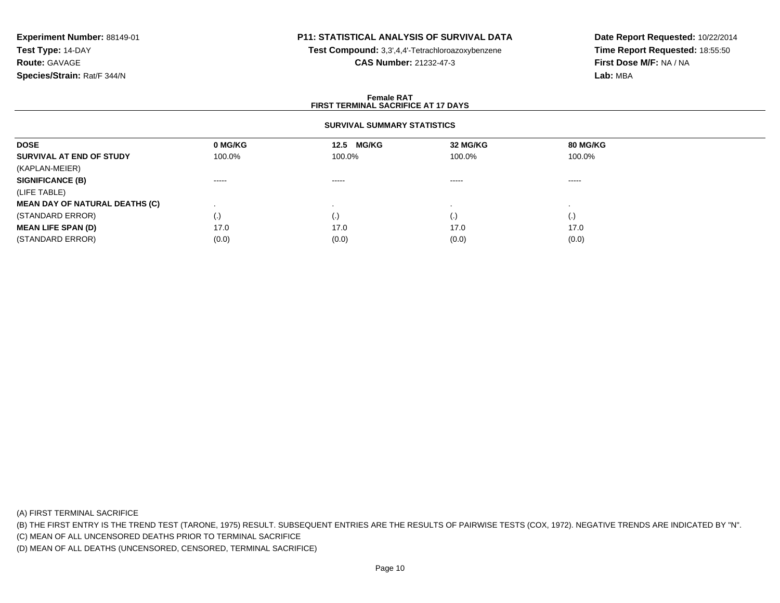# **P11: STATISTICAL ANALYSIS OF SURVIVAL DATA**

**Test Compound:** 3,3',4,4'-Tetrachloroazoxybenzene

**CAS Number:** 21232-47-3

**Date Report Requested:** 10/22/2014**Time Report Requested:** 18:55:50**First Dose M/F:** NA / NA**Lab:** MBA

### **Female RATFIRST TERMINAL SACRIFICE AT 17 DAYS**

## **SURVIVAL SUMMARY STATISTICS**

| <b>DOSE</b>                           | 0 MG/KG                | 12.5 MG/KG | 32 MG/KG | 80 MG/KG |  |
|---------------------------------------|------------------------|------------|----------|----------|--|
| SURVIVAL AT END OF STUDY              | 100.0%                 | 100.0%     | 100.0%   | 100.0%   |  |
| (KAPLAN-MEIER)                        |                        |            |          |          |  |
| <b>SIGNIFICANCE (B)</b>               | $\cdots$               | -----      | -----    | ------   |  |
| (LIFE TABLE)                          |                        |            |          |          |  |
| <b>MEAN DAY OF NATURAL DEATHS (C)</b> |                        |            |          |          |  |
| (STANDARD ERROR)                      | $\left( \cdot \right)$ | $\cdot$    | (.)      | (.)      |  |
| <b>MEAN LIFE SPAN (D)</b>             | 17.0                   | 17.0       | 17.0     | 17.0     |  |
| (STANDARD ERROR)                      | (0.0)                  | (0.0)      | (0.0)    | (0.0)    |  |

(A) FIRST TERMINAL SACRIFICE

(B) THE FIRST ENTRY IS THE TREND TEST (TARONE, 1975) RESULT. SUBSEQUENT ENTRIES ARE THE RESULTS OF PAIRWISE TESTS (COX, 1972). NEGATIVE TRENDS ARE INDICATED BY "N".

(C) MEAN OF ALL UNCENSORED DEATHS PRIOR TO TERMINAL SACRIFICE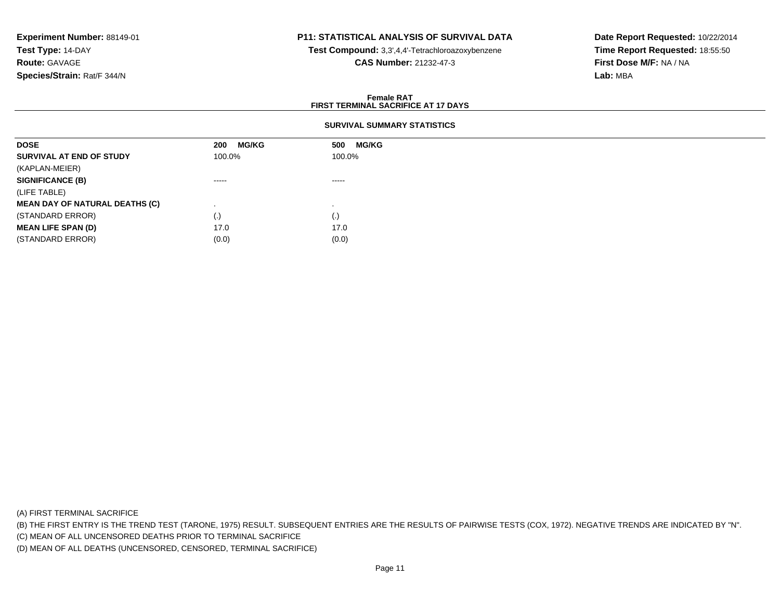## **P11: STATISTICAL ANALYSIS OF SURVIVAL DATA**

**Test Compound:** 3,3',4,4'-Tetrachloroazoxybenzene

**CAS Number:** 21232-47-3

**Date Report Requested:** 10/22/2014**Time Report Requested:** 18:55:50**First Dose M/F:** NA / NA**Lab:** MBA

### **Female RATFIRST TERMINAL SACRIFICE AT 17 DAYS**

## **SURVIVAL SUMMARY STATISTICS**

| <b>DOSE</b>                           | <b>MG/KG</b><br>200 | <b>MG/KG</b><br>500 |
|---------------------------------------|---------------------|---------------------|
| SURVIVAL AT END OF STUDY              | 100.0%              | 100.0%              |
| (KAPLAN-MEIER)                        |                     |                     |
| <b>SIGNIFICANCE (B)</b>               | -----               | $\cdots$            |
| (LIFE TABLE)                          |                     |                     |
| <b>MEAN DAY OF NATURAL DEATHS (C)</b> |                     |                     |
| (STANDARD ERROR)                      | $\left( . \right)$  | (.)                 |
| <b>MEAN LIFE SPAN (D)</b>             | 17.0                | 17.0                |
| (STANDARD ERROR)                      | (0.0)               | (0.0)               |

(A) FIRST TERMINAL SACRIFICE

(B) THE FIRST ENTRY IS THE TREND TEST (TARONE, 1975) RESULT. SUBSEQUENT ENTRIES ARE THE RESULTS OF PAIRWISE TESTS (COX, 1972). NEGATIVE TRENDS ARE INDICATED BY "N".

(C) MEAN OF ALL UNCENSORED DEATHS PRIOR TO TERMINAL SACRIFICE